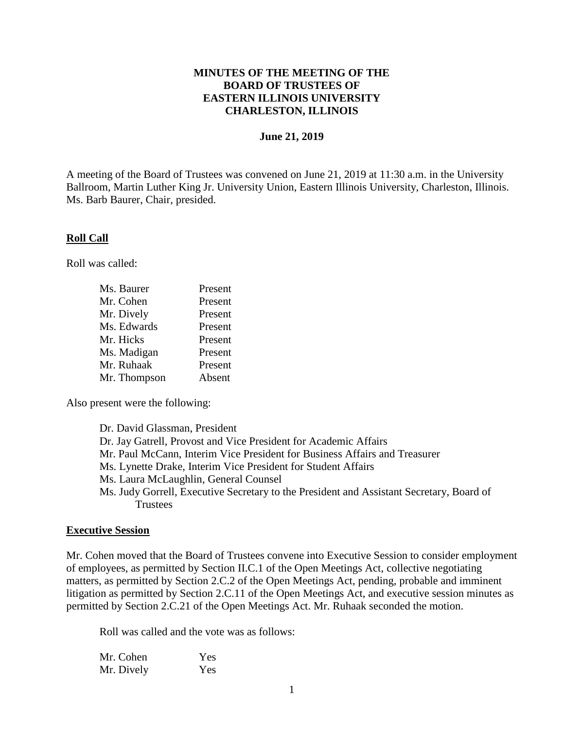## **MINUTES OF THE MEETING OF THE BOARD OF TRUSTEES OF EASTERN ILLINOIS UNIVERSITY CHARLESTON, ILLINOIS**

### **June 21, 2019**

A meeting of the Board of Trustees was convened on June 21, 2019 at 11:30 a.m. in the University Ballroom, Martin Luther King Jr. University Union, Eastern Illinois University, Charleston, Illinois. Ms. Barb Baurer, Chair, presided.

### **Roll Call**

Roll was called:

| Ms. Baurer   | Present |
|--------------|---------|
| Mr. Cohen    | Present |
| Mr. Dively   | Present |
| Ms. Edwards  | Present |
| Mr. Hicks    | Present |
| Ms. Madigan  | Present |
| Mr. Ruhaak   | Present |
| Mr. Thompson | Absent  |

Also present were the following:

Dr. David Glassman, President Dr. Jay Gatrell, Provost and Vice President for Academic Affairs Mr. Paul McCann, Interim Vice President for Business Affairs and Treasurer Ms. Lynette Drake, Interim Vice President for Student Affairs Ms. Laura McLaughlin, General Counsel Ms. Judy Gorrell, Executive Secretary to the President and Assistant Secretary, Board of **Trustees** 

### **Executive Session**

Mr. Cohen moved that the Board of Trustees convene into Executive Session to consider employment of employees, as permitted by Section II.C.1 of the Open Meetings Act, collective negotiating matters, as permitted by Section 2.C.2 of the Open Meetings Act, pending, probable and imminent litigation as permitted by Section 2.C.11 of the Open Meetings Act, and executive session minutes as permitted by Section 2.C.21 of the Open Meetings Act. Mr. Ruhaak seconded the motion.

Roll was called and the vote was as follows:

| Mr. Cohen  | Yes |
|------------|-----|
| Mr. Dively | Yes |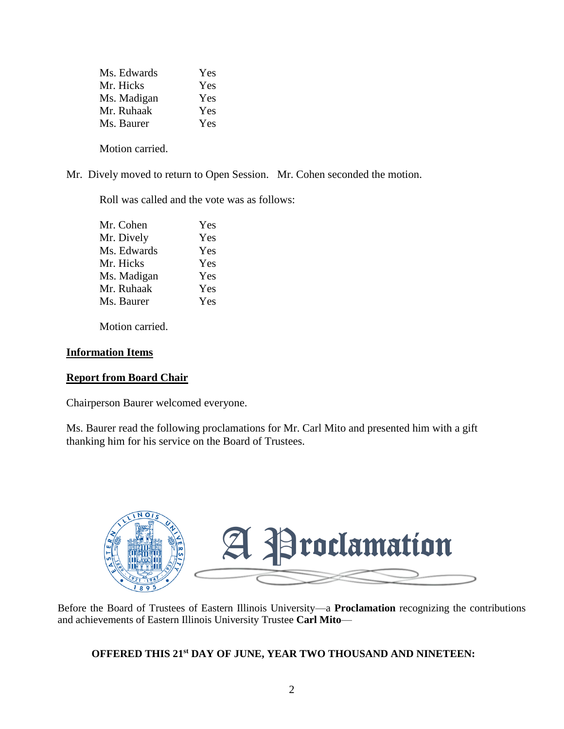| Ms. Edwards | Yes |
|-------------|-----|
| Mr. Hicks   | Yes |
| Ms. Madigan | Yes |
| Mr. Ruhaak  | Yes |
| Ms. Baurer  | Yes |
|             |     |

Motion carried.

Mr. Dively moved to return to Open Session. Mr. Cohen seconded the motion.

Roll was called and the vote was as follows:

| Mr. Cohen   | Yes |
|-------------|-----|
| Mr. Dively  | Yes |
| Ms. Edwards | Yes |
| Mr. Hicks   | Yes |
| Ms. Madigan | Yes |
| Mr. Ruhaak  | Yes |
| Ms. Baurer  | Yes |
|             |     |

Motion carried.

## **Information Items**

# **Report from Board Chair**

Chairperson Baurer welcomed everyone.

Ms. Baurer read the following proclamations for Mr. Carl Mito and presented him with a gift thanking him for his service on the Board of Trustees.



Before the Board of Trustees of Eastern Illinois University—a **Proclamation** recognizing the contributions and achievements of Eastern Illinois University Trustee **Carl Mito**—

# **OFFERED THIS 21st DAY OF JUNE, YEAR TWO THOUSAND AND NINETEEN:**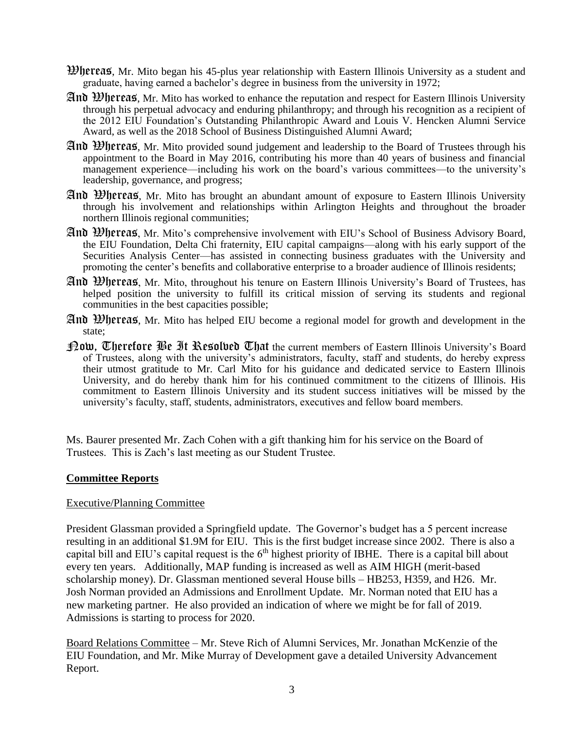- Whereas, Mr. Mito began his 45-plus year relationship with Eastern Illinois University as a student and graduate, having earned a bachelor's degree in business from the university in 1972;
- And Whereas, Mr. Mito has worked to enhance the reputation and respect for Eastern Illinois University through his perpetual advocacy and enduring philanthropy; and through his recognition as a recipient of the 2012 EIU Foundation's Outstanding Philanthropic Award and Louis V. Hencken Alumni Service Award, as well as the 2018 School of Business Distinguished Alumni Award;
- And Whereas, Mr. Mito provided sound judgement and leadership to the Board of Trustees through his appointment to the Board in May 2016, contributing his more than 40 years of business and financial management experience—including his work on the board's various committees—to the university's leadership, governance, and progress;
- And Whereas, Mr. Mito has brought an abundant amount of exposure to Eastern Illinois University through his involvement and relationships within Arlington Heights and throughout the broader northern Illinois regional communities;
- And Whereas, Mr. Mito's comprehensive involvement with EIU's School of Business Advisory Board, the EIU Foundation, Delta Chi fraternity, EIU capital campaigns—along with his early support of the Securities Analysis Center—has assisted in connecting business graduates with the University and promoting the center's benefits and collaborative enterprise to a broader audience of Illinois residents;
- And Whereas, Mr. Mito, throughout his tenure on Eastern Illinois University's Board of Trustees, has helped position the university to fulfill its critical mission of serving its students and regional communities in the best capacities possible;
- And Whereas, Mr. Mito has helped EIU become a regional model for growth and development in the state;
- **[Patallel]** Therefore  $\mathfrak{B}_\ell$  **If Resolved Uhat** the current members of Eastern Illinois University's Board of Trustees, along with the university's administrators, faculty, staff and students, do hereby express their utmost gratitude to Mr. Carl Mito for his guidance and dedicated service to Eastern Illinois University, and do hereby thank him for his continued commitment to the citizens of Illinois. His commitment to Eastern Illinois University and its student success initiatives will be missed by the university's faculty, staff, students, administrators, executives and fellow board members.

Ms. Baurer presented Mr. Zach Cohen with a gift thanking him for his service on the Board of Trustees. This is Zach's last meeting as our Student Trustee.

### **Committee Reports**

### Executive/Planning Committee

President Glassman provided a Springfield update. The Governor's budget has a 5 percent increase resulting in an additional \$1.9M for EIU. This is the first budget increase since 2002. There is also a capital bill and EIU's capital request is the  $6<sup>th</sup>$  highest priority of IBHE. There is a capital bill about every ten years. Additionally, MAP funding is increased as well as AIM HIGH (merit-based scholarship money). Dr. Glassman mentioned several House bills – HB253, H359, and H26. Mr. Josh Norman provided an Admissions and Enrollment Update. Mr. Norman noted that EIU has a new marketing partner. He also provided an indication of where we might be for fall of 2019. Admissions is starting to process for 2020.

Board Relations Committee – Mr. Steve Rich of Alumni Services, Mr. Jonathan McKenzie of the EIU Foundation, and Mr. Mike Murray of Development gave a detailed University Advancement Report.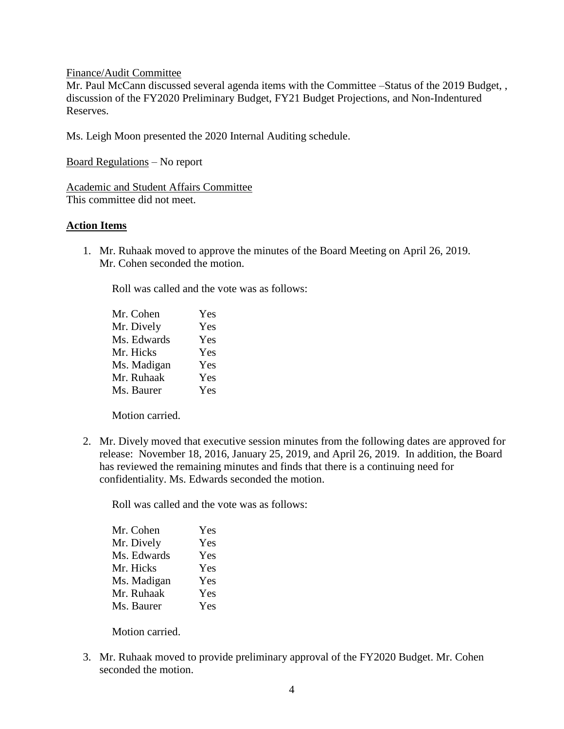Finance/Audit Committee

Mr. Paul McCann discussed several agenda items with the Committee –Status of the 2019 Budget, , discussion of the FY2020 Preliminary Budget, FY21 Budget Projections, and Non-Indentured Reserves.

Ms. Leigh Moon presented the 2020 Internal Auditing schedule.

Board Regulations – No report

Academic and Student Affairs Committee This committee did not meet.

### **Action Items**

1. Mr. Ruhaak moved to approve the minutes of the Board Meeting on April 26, 2019. Mr. Cohen seconded the motion.

Roll was called and the vote was as follows:

| Mr. Cohen   | Yes |
|-------------|-----|
| Mr. Dively  | Yes |
| Ms. Edwards | Yes |
| Mr. Hicks   | Yes |
| Ms. Madigan | Yes |
| Mr. Ruhaak  | Yes |
| Ms. Baurer  | Yes |

Motion carried.

2. Mr. Dively moved that executive session minutes from the following dates are approved for release: November 18, 2016, January 25, 2019, and April 26, 2019. In addition, the Board has reviewed the remaining minutes and finds that there is a continuing need for confidentiality. Ms. Edwards seconded the motion.

Roll was called and the vote was as follows:

| Mr. Cohen   | Yes |
|-------------|-----|
| Mr. Dively  | Yes |
| Ms. Edwards | Yes |
| Mr. Hicks   | Yes |
| Ms. Madigan | Yes |
| Mr. Ruhaak  | Yes |
| Ms. Baurer  | Yes |

Motion carried.

3. Mr. Ruhaak moved to provide preliminary approval of the FY2020 Budget. Mr. Cohen seconded the motion.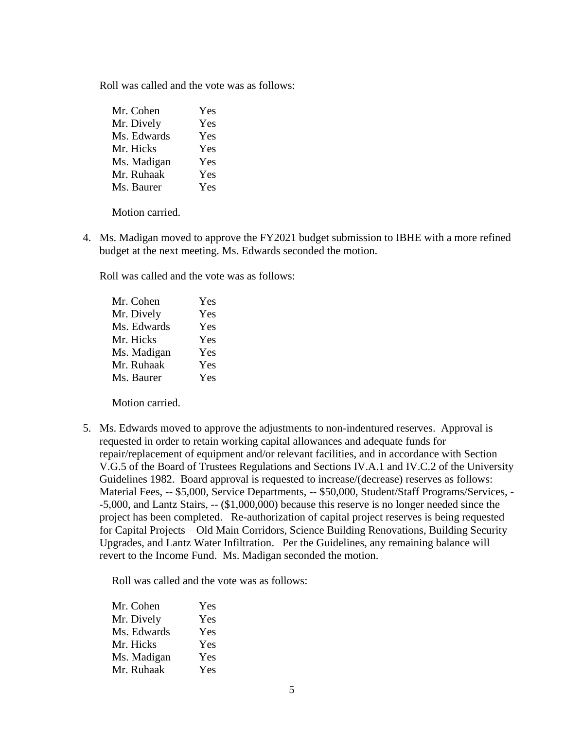Roll was called and the vote was as follows:

| Mr. Cohen   | Yes |
|-------------|-----|
| Mr. Dively  | Yes |
| Ms. Edwards | Yes |
| Mr. Hicks   | Yes |
| Ms. Madigan | Yes |
| Mr. Ruhaak  | Yes |
| Ms. Baurer  | Yes |

Motion carried.

4. Ms. Madigan moved to approve the FY2021 budget submission to IBHE with a more refined budget at the next meeting. Ms. Edwards seconded the motion.

Roll was called and the vote was as follows:

| Mr. Cohen   | Yes |
|-------------|-----|
| Mr. Dively  | Yes |
| Ms. Edwards | Yes |
| Mr. Hicks   | Yes |
| Ms. Madigan | Yes |
| Mr. Ruhaak  | Yes |
| Ms. Baurer  | Yes |

Motion carried.

5. Ms. Edwards moved to approve the adjustments to non-indentured reserves. Approval is requested in order to retain working capital allowances and adequate funds for repair/replacement of equipment and/or relevant facilities, and in accordance with Section V.G.5 of the Board of Trustees Regulations and Sections IV.A.1 and IV.C.2 of the University Guidelines 1982. Board approval is requested to increase/(decrease) reserves as follows: Material Fees, -- \$5,000, Service Departments, -- \$50,000, Student/Staff Programs/Services, - -5,000, and Lantz Stairs, -- (\$1,000,000) because this reserve is no longer needed since the project has been completed. Re-authorization of capital project reserves is being requested for Capital Projects – Old Main Corridors, Science Building Renovations, Building Security Upgrades, and Lantz Water Infiltration. Per the Guidelines, any remaining balance will revert to the Income Fund. Ms. Madigan seconded the motion.

Roll was called and the vote was as follows:

| Mr. Cohen   | Yes |
|-------------|-----|
| Mr. Dively  | Yes |
| Ms. Edwards | Yes |
| Mr. Hicks   | Yes |
| Ms. Madigan | Yes |
| Mr. Ruhaak  | Yes |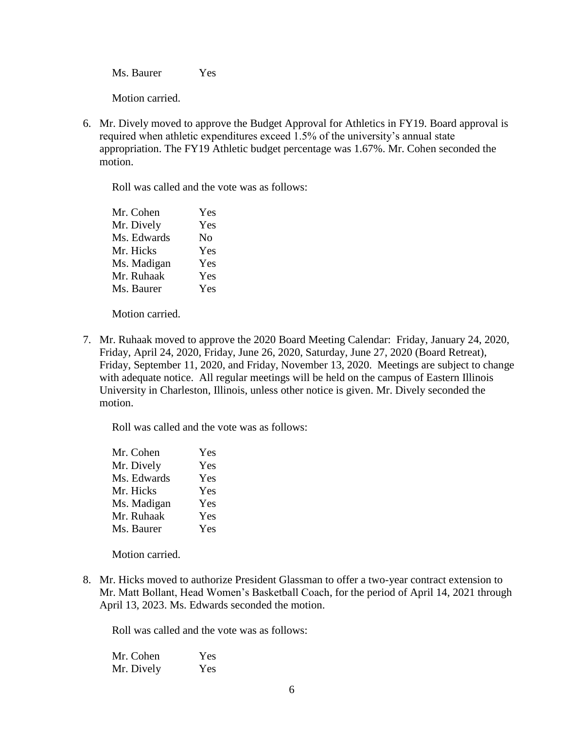Ms. Baurer Yes

Motion carried.

6. Mr. Dively moved to approve the Budget Approval for Athletics in FY19. Board approval is required when athletic expenditures exceed 1.5% of the university's annual state appropriation. The FY19 Athletic budget percentage was 1.67%. Mr. Cohen seconded the motion.

Roll was called and the vote was as follows:

| Mr. Cohen   | Yes            |
|-------------|----------------|
| Mr. Dively  | Yes            |
| Ms. Edwards | N <sub>0</sub> |
| Mr. Hicks   | Yes            |
| Ms. Madigan | Yes            |
| Mr. Ruhaak  | Yes            |
| Ms. Baurer  | Yes            |

Motion carried.

7. Mr. Ruhaak moved to approve the 2020 Board Meeting Calendar: Friday, January 24, 2020, Friday, April 24, 2020, Friday, June 26, 2020, Saturday, June 27, 2020 (Board Retreat), Friday, September 11, 2020, and Friday, November 13, 2020. Meetings are subject to change with adequate notice. All regular meetings will be held on the campus of Eastern Illinois University in Charleston, Illinois, unless other notice is given. Mr. Dively seconded the motion.

Roll was called and the vote was as follows:

| Yes |
|-----|
| Yes |
| Yes |
| Yes |
| Yes |
| Yes |
| Yes |
|     |

Motion carried.

8. Mr. Hicks moved to authorize President Glassman to offer a two-year contract extension to Mr. Matt Bollant, Head Women's Basketball Coach, for the period of April 14, 2021 through April 13, 2023. Ms. Edwards seconded the motion.

Roll was called and the vote was as follows:

| Mr. Cohen  | Yes |
|------------|-----|
| Mr. Dively | Yes |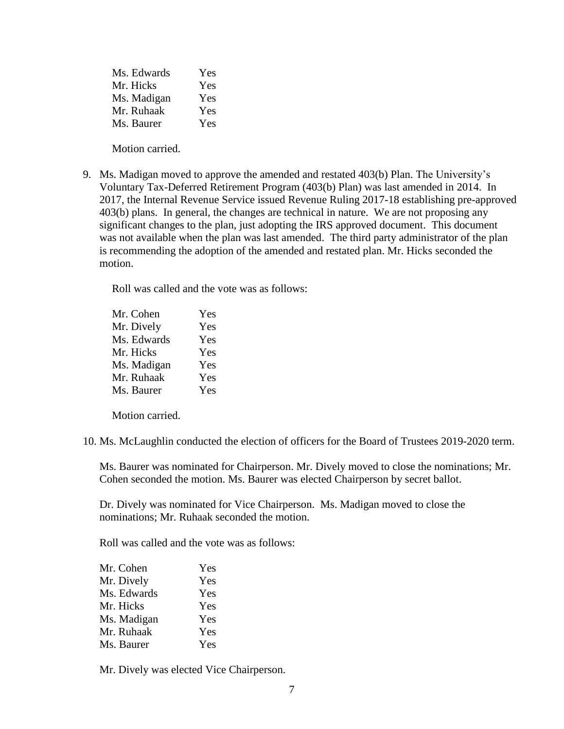| Ms. Edwards | Yes |
|-------------|-----|
| Mr. Hicks   | Yes |
| Ms. Madigan | Yes |
| Mr. Ruhaak  | Yes |
| Ms. Baurer  | Yes |

Motion carried.

9. Ms. Madigan moved to approve the amended and restated 403(b) Plan. The University's Voluntary Tax-Deferred Retirement Program (403(b) Plan) was last amended in 2014. In 2017, the Internal Revenue Service issued Revenue Ruling 2017-18 establishing pre-approved 403(b) plans. In general, the changes are technical in nature. We are not proposing any significant changes to the plan, just adopting the IRS approved document. This document was not available when the plan was last amended. The third party administrator of the plan is recommending the adoption of the amended and restated plan. Mr. Hicks seconded the motion.

Roll was called and the vote was as follows:

| Mr. Cohen   | Yes |
|-------------|-----|
| Mr. Dively  | Yes |
| Ms. Edwards | Yes |
| Mr. Hicks   | Yes |
| Ms. Madigan | Yes |
| Mr. Ruhaak  | Yes |
| Ms. Baurer  | Yes |

Motion carried.

10. Ms. McLaughlin conducted the election of officers for the Board of Trustees 2019-2020 term.

Ms. Baurer was nominated for Chairperson. Mr. Dively moved to close the nominations; Mr. Cohen seconded the motion. Ms. Baurer was elected Chairperson by secret ballot.

Dr. Dively was nominated for Vice Chairperson. Ms. Madigan moved to close the nominations; Mr. Ruhaak seconded the motion.

Roll was called and the vote was as follows:

| Mr. Cohen   | Yes |
|-------------|-----|
| Mr. Dively  | Yes |
| Ms. Edwards | Yes |
| Mr. Hicks   | Yes |
| Ms. Madigan | Yes |
| Mr. Ruhaak  | Yes |
| Ms. Baurer  | Yes |

Mr. Dively was elected Vice Chairperson.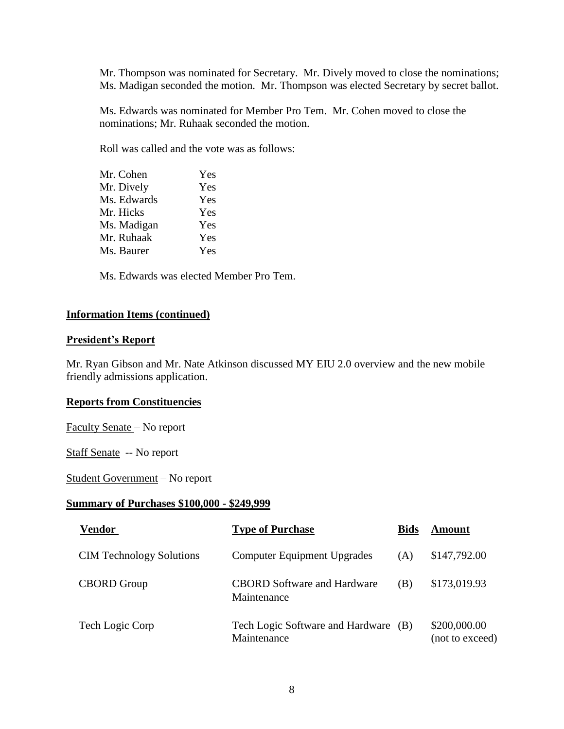Mr. Thompson was nominated for Secretary. Mr. Dively moved to close the nominations; Ms. Madigan seconded the motion. Mr. Thompson was elected Secretary by secret ballot.

Ms. Edwards was nominated for Member Pro Tem. Mr. Cohen moved to close the nominations; Mr. Ruhaak seconded the motion.

Roll was called and the vote was as follows:

| Mr. Cohen   | Yes |
|-------------|-----|
| Mr. Dively  | Yes |
| Ms. Edwards | Yes |
| Mr. Hicks   | Yes |
| Ms. Madigan | Yes |
| Mr. Ruhaak  | Yes |
| Ms. Baurer  | Yes |
|             |     |

Ms. Edwards was elected Member Pro Tem.

### **Information Items (continued)**

### **President's Report**

Mr. Ryan Gibson and Mr. Nate Atkinson discussed MY EIU 2.0 overview and the new mobile friendly admissions application.

### **Reports from Constituencies**

Faculty Senate – No report

Staff Senate -- No report

Student Government – No report

#### **Summary of Purchases \$100,000 - \$249,999**

| <b>Vendor</b>                   | <b>Type of Purchase</b>                             | <b>Bids</b> | Amount                          |
|---------------------------------|-----------------------------------------------------|-------------|---------------------------------|
| <b>CIM</b> Technology Solutions | <b>Computer Equipment Upgrades</b>                  | (A)         | \$147,792.00                    |
| <b>CBORD</b> Group              | <b>CBORD</b> Software and Hardware<br>Maintenance   | (B)         | \$173,019.93                    |
| Tech Logic Corp                 | Tech Logic Software and Hardware (B)<br>Maintenance |             | \$200,000.00<br>(not to exceed) |